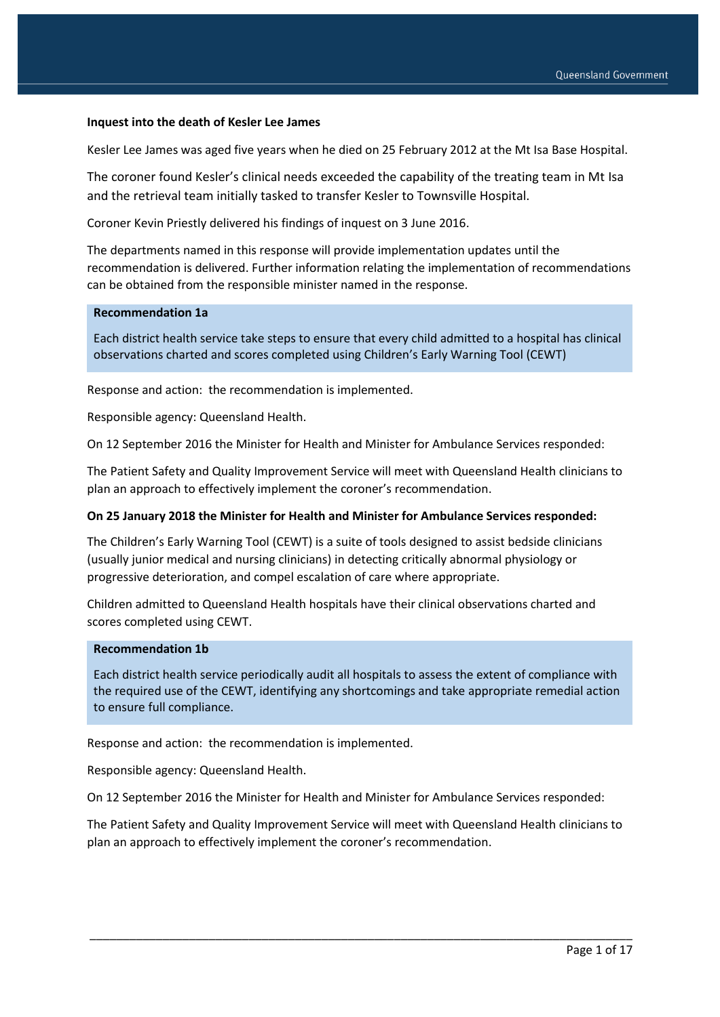#### **Inquest into the death of Kesler Lee James**

Kesler Lee James was aged five years when he died on 25 February 2012 at the Mt Isa Base Hospital.

The coroner found Kesler's clinical needs exceeded the capability of the treating team in Mt Isa and the retrieval team initially tasked to transfer Kesler to Townsville Hospital.

Coroner Kevin Priestly delivered his findings of inquest on 3 June 2016.

The departments named in this response will provide implementation updates until the recommendation is delivered. Further information relating the implementation of recommendations can be obtained from the responsible minister named in the response.

#### **Recommendation 1a**

Each district health service take steps to ensure that every child admitted to a hospital has clinical observations charted and scores completed using Children's Early Warning Tool (CEWT)

Response and action: the recommendation is implemented.

Responsible agency: Queensland Health.

On 12 September 2016 the Minister for Health and Minister for Ambulance Services responded:

The Patient Safety and Quality Improvement Service will meet with Queensland Health clinicians to plan an approach to effectively implement the coroner's recommendation.

#### **On 25 January 2018 the Minister for Health and Minister for Ambulance Services responded:**

The Children's Early Warning Tool (CEWT) is a suite of tools designed to assist bedside clinicians (usually junior medical and nursing clinicians) in detecting critically abnormal physiology or progressive deterioration, and compel escalation of care where appropriate.

Children admitted to Queensland Health hospitals have their clinical observations charted and scores completed using CEWT.

#### **Recommendation 1b**

Each district health service periodically audit all hospitals to assess the extent of compliance with the required use of the CEWT, identifying any shortcomings and take appropriate remedial action to ensure full compliance.

Response and action: the recommendation is implemented.

Responsible agency: Queensland Health.

On 12 September 2016 the Minister for Health and Minister for Ambulance Services responded:

The Patient Safety and Quality Improvement Service will meet with Queensland Health clinicians to plan an approach to effectively implement the coroner's recommendation.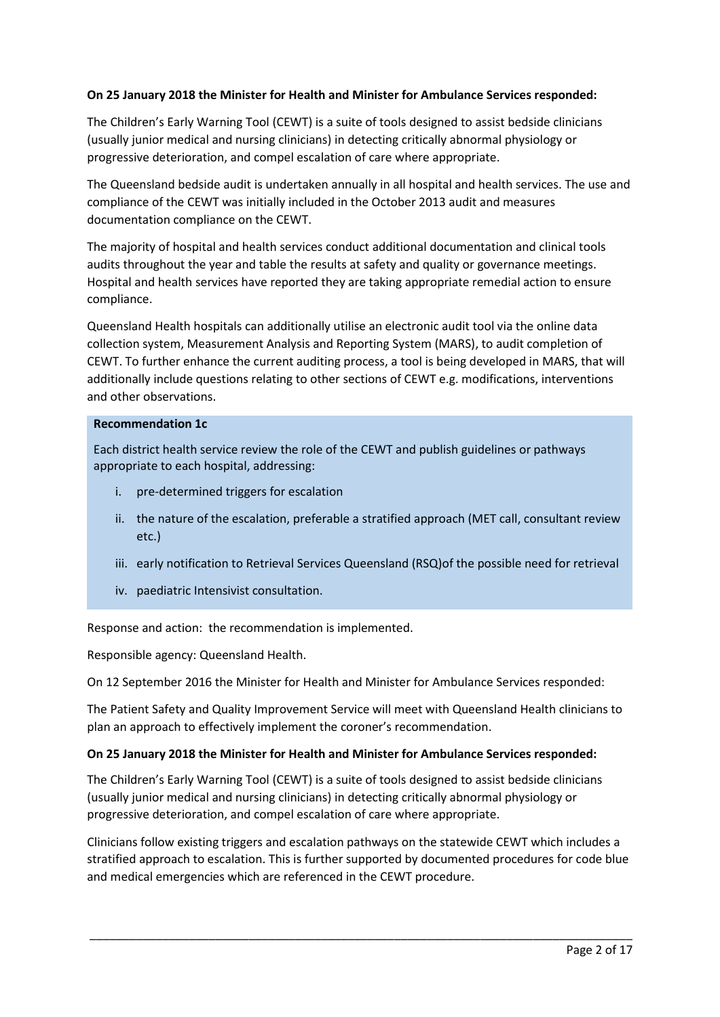# **On 25 January 2018 the Minister for Health and Minister for Ambulance Services responded:**

The Children's Early Warning Tool (CEWT) is a suite of tools designed to assist bedside clinicians (usually junior medical and nursing clinicians) in detecting critically abnormal physiology or progressive deterioration, and compel escalation of care where appropriate.

The Queensland bedside audit is undertaken annually in all hospital and health services. The use and compliance of the CEWT was initially included in the October 2013 audit and measures documentation compliance on the CEWT.

The majority of hospital and health services conduct additional documentation and clinical tools audits throughout the year and table the results at safety and quality or governance meetings. Hospital and health services have reported they are taking appropriate remedial action to ensure compliance.

Queensland Health hospitals can additionally utilise an electronic audit tool via the online data collection system, Measurement Analysis and Reporting System (MARS), to audit completion of CEWT. To further enhance the current auditing process, a tool is being developed in MARS, that will additionally include questions relating to other sections of CEWT e.g. modifications, interventions and other observations.

#### **Recommendation 1c**

Each district health service review the role of the CEWT and publish guidelines or pathways appropriate to each hospital, addressing:

- i. pre-determined triggers for escalation
- ii. the nature of the escalation, preferable a stratified approach (MET call, consultant review etc.)
- iii. early notification to Retrieval Services Queensland (RSQ)of the possible need for retrieval
- iv. paediatric Intensivist consultation.

Response and action: the recommendation is implemented.

Responsible agency: Queensland Health.

On 12 September 2016 the Minister for Health and Minister for Ambulance Services responded:

The Patient Safety and Quality Improvement Service will meet with Queensland Health clinicians to plan an approach to effectively implement the coroner's recommendation.

### **On 25 January 2018 the Minister for Health and Minister for Ambulance Services responded:**

The Children's Early Warning Tool (CEWT) is a suite of tools designed to assist bedside clinicians (usually junior medical and nursing clinicians) in detecting critically abnormal physiology or progressive deterioration, and compel escalation of care where appropriate.

Clinicians follow existing triggers and escalation pathways on the statewide CEWT which includes a stratified approach to escalation. This is further supported by documented procedures for code blue and medical emergencies which are referenced in the CEWT procedure.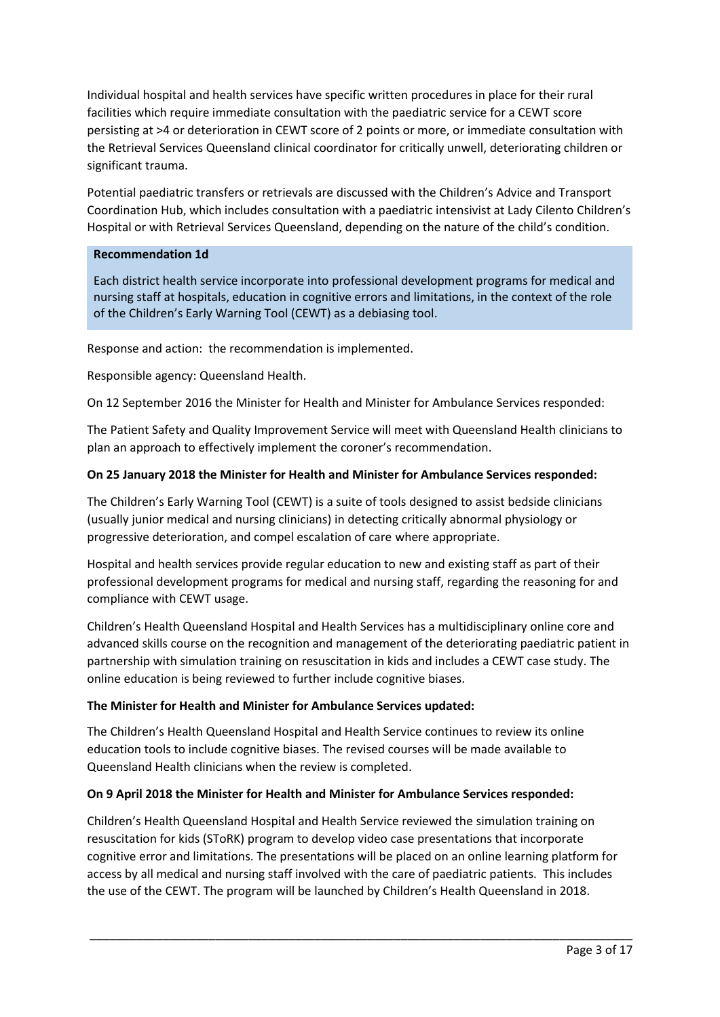Individual hospital and health services have specific written procedures in place for their rural facilities which require immediate consultation with the paediatric service for a CEWT score persisting at >4 or deterioration in CEWT score of 2 points or more, or immediate consultation with the Retrieval Services Queensland clinical coordinator for critically unwell, deteriorating children or significant trauma.

Potential paediatric transfers or retrievals are discussed with the Children's Advice and Transport Coordination Hub, which includes consultation with a paediatric intensivist at Lady Cilento Children's Hospital or with Retrieval Services Queensland, depending on the nature of the child's condition.

## **Recommendation 1d**

Each district health service incorporate into professional development programs for medical and nursing staff at hospitals, education in cognitive errors and limitations, in the context of the role of the Children's Early Warning Tool (CEWT) as a debiasing tool.

Response and action: the recommendation is implemented.

Responsible agency: Queensland Health.

On 12 September 2016 the Minister for Health and Minister for Ambulance Services responded:

The Patient Safety and Quality Improvement Service will meet with Queensland Health clinicians to plan an approach to effectively implement the coroner's recommendation.

# **On 25 January 2018 the Minister for Health and Minister for Ambulance Services responded:**

The Children's Early Warning Tool (CEWT) is a suite of tools designed to assist bedside clinicians (usually junior medical and nursing clinicians) in detecting critically abnormal physiology or progressive deterioration, and compel escalation of care where appropriate.

Hospital and health services provide regular education to new and existing staff as part of their professional development programs for medical and nursing staff, regarding the reasoning for and compliance with CEWT usage.

Children's Health Queensland Hospital and Health Services has a multidisciplinary online core and advanced skills course on the recognition and management of the deteriorating paediatric patient in partnership with simulation training on resuscitation in kids and includes a CEWT case study. The online education is being reviewed to further include cognitive biases.

# **The Minister for Health and Minister for Ambulance Services updated:**

The Children's Health Queensland Hospital and Health Service continues to review its online education tools to include cognitive biases. The revised courses will be made available to Queensland Health clinicians when the review is completed.

# **On 9 April 2018 the Minister for Health and Minister for Ambulance Services responded:**

Children's Health Queensland Hospital and Health Service reviewed the simulation training on resuscitation for kids (SToRK) program to develop video case presentations that incorporate cognitive error and limitations. The presentations will be placed on an online learning platform for access by all medical and nursing staff involved with the care of paediatric patients. This includes the use of the CEWT. The program will be launched by Children's Health Queensland in 2018.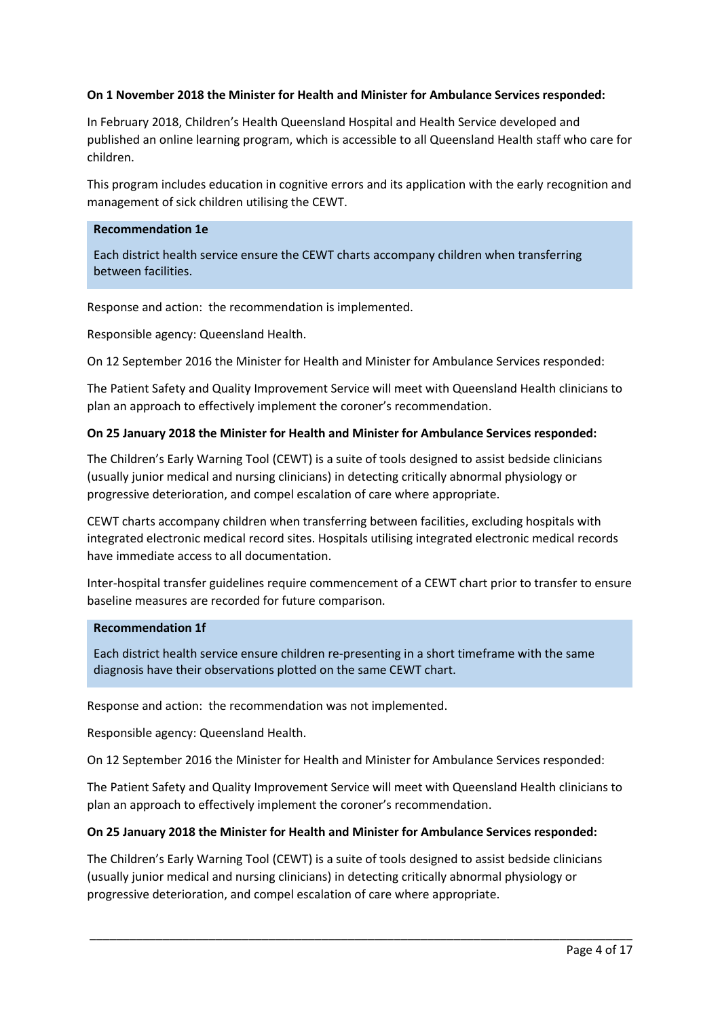## **On 1 November 2018 the Minister for Health and Minister for Ambulance Services responded:**

In February 2018, Children's Health Queensland Hospital and Health Service developed and published an online learning program, which is accessible to all Queensland Health staff who care for children.

This program includes education in cognitive errors and its application with the early recognition and management of sick children utilising the CEWT.

#### **Recommendation 1e**

Each district health service ensure the CEWT charts accompany children when transferring between facilities.

Response and action: the recommendation is implemented.

Responsible agency: Queensland Health.

On 12 September 2016 the Minister for Health and Minister for Ambulance Services responded:

The Patient Safety and Quality Improvement Service will meet with Queensland Health clinicians to plan an approach to effectively implement the coroner's recommendation.

### **On 25 January 2018 the Minister for Health and Minister for Ambulance Services responded:**

The Children's Early Warning Tool (CEWT) is a suite of tools designed to assist bedside clinicians (usually junior medical and nursing clinicians) in detecting critically abnormal physiology or progressive deterioration, and compel escalation of care where appropriate.

CEWT charts accompany children when transferring between facilities, excluding hospitals with integrated electronic medical record sites. Hospitals utilising integrated electronic medical records have immediate access to all documentation.

Inter-hospital transfer guidelines require commencement of a CEWT chart prior to transfer to ensure baseline measures are recorded for future comparison.

## **Recommendation 1f**

Each district health service ensure children re-presenting in a short timeframe with the same diagnosis have their observations plotted on the same CEWT chart.

Response and action: the recommendation was not implemented.

Responsible agency: Queensland Health.

On 12 September 2016 the Minister for Health and Minister for Ambulance Services responded:

The Patient Safety and Quality Improvement Service will meet with Queensland Health clinicians to plan an approach to effectively implement the coroner's recommendation.

### **On 25 January 2018 the Minister for Health and Minister for Ambulance Services responded:**

The Children's Early Warning Tool (CEWT) is a suite of tools designed to assist bedside clinicians (usually junior medical and nursing clinicians) in detecting critically abnormal physiology or progressive deterioration, and compel escalation of care where appropriate.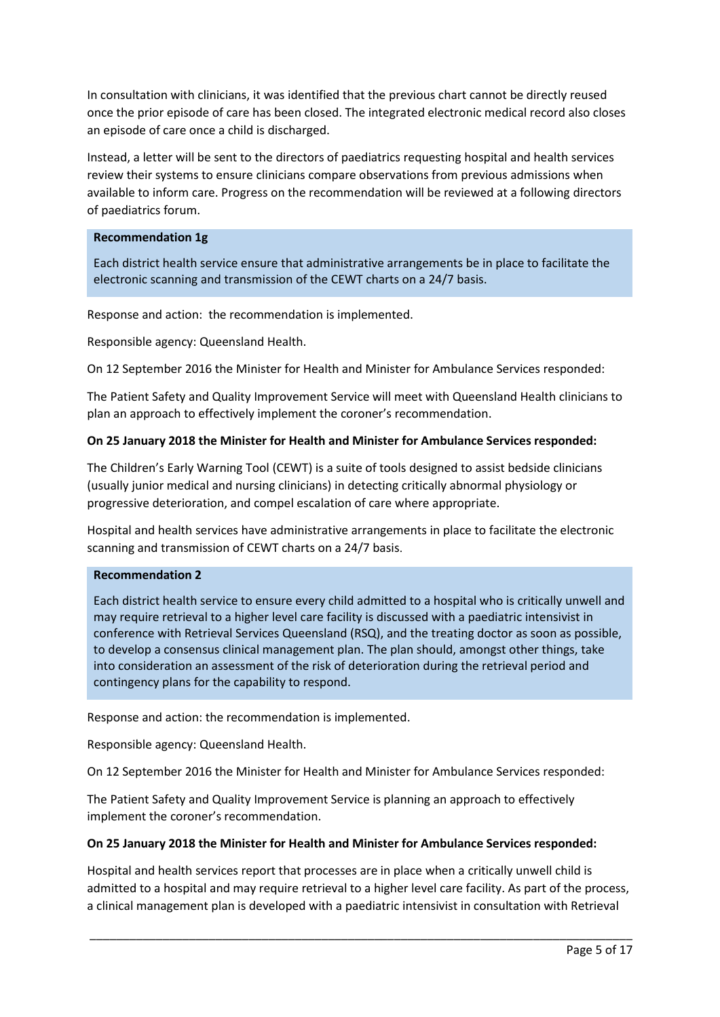In consultation with clinicians, it was identified that the previous chart cannot be directly reused once the prior episode of care has been closed. The integrated electronic medical record also closes an episode of care once a child is discharged.

Instead, a letter will be sent to the directors of paediatrics requesting hospital and health services review their systems to ensure clinicians compare observations from previous admissions when available to inform care. Progress on the recommendation will be reviewed at a following directors of paediatrics forum.

### **Recommendation 1g**

Each district health service ensure that administrative arrangements be in place to facilitate the electronic scanning and transmission of the CEWT charts on a 24/7 basis.

Response and action: the recommendation is implemented.

Responsible agency: Queensland Health.

On 12 September 2016 the Minister for Health and Minister for Ambulance Services responded:

The Patient Safety and Quality Improvement Service will meet with Queensland Health clinicians to plan an approach to effectively implement the coroner's recommendation.

## **On 25 January 2018 the Minister for Health and Minister for Ambulance Services responded:**

The Children's Early Warning Tool (CEWT) is a suite of tools designed to assist bedside clinicians (usually junior medical and nursing clinicians) in detecting critically abnormal physiology or progressive deterioration, and compel escalation of care where appropriate.

Hospital and health services have administrative arrangements in place to facilitate the electronic scanning and transmission of CEWT charts on a 24/7 basis.

### **Recommendation 2**

Each district health service to ensure every child admitted to a hospital who is critically unwell and may require retrieval to a higher level care facility is discussed with a paediatric intensivist in conference with Retrieval Services Queensland (RSQ), and the treating doctor as soon as possible, to develop a consensus clinical management plan. The plan should, amongst other things, take into consideration an assessment of the risk of deterioration during the retrieval period and contingency plans for the capability to respond.

Response and action: the recommendation is implemented.

Responsible agency: Queensland Health.

On 12 September 2016 the Minister for Health and Minister for Ambulance Services responded:

The Patient Safety and Quality Improvement Service is planning an approach to effectively implement the coroner's recommendation.

### **On 25 January 2018 the Minister for Health and Minister for Ambulance Services responded:**

Hospital and health services report that processes are in place when a critically unwell child is admitted to a hospital and may require retrieval to a higher level care facility. As part of the process, a clinical management plan is developed with a paediatric intensivist in consultation with Retrieval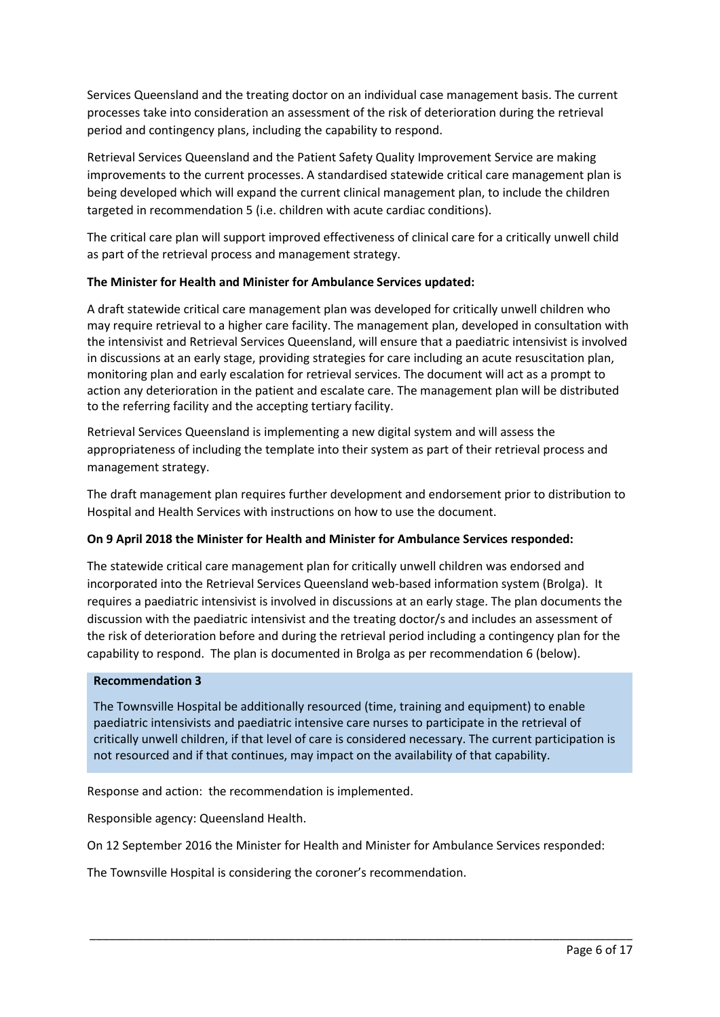Services Queensland and the treating doctor on an individual case management basis. The current processes take into consideration an assessment of the risk of deterioration during the retrieval period and contingency plans, including the capability to respond.

Retrieval Services Queensland and the Patient Safety Quality Improvement Service are making improvements to the current processes. A standardised statewide critical care management plan is being developed which will expand the current clinical management plan, to include the children targeted in recommendation 5 (i.e. children with acute cardiac conditions).

The critical care plan will support improved effectiveness of clinical care for a critically unwell child as part of the retrieval process and management strategy.

## **The Minister for Health and Minister for Ambulance Services updated:**

A draft statewide critical care management plan was developed for critically unwell children who may require retrieval to a higher care facility. The management plan, developed in consultation with the intensivist and Retrieval Services Queensland, will ensure that a paediatric intensivist is involved in discussions at an early stage, providing strategies for care including an acute resuscitation plan, monitoring plan and early escalation for retrieval services. The document will act as a prompt to action any deterioration in the patient and escalate care. The management plan will be distributed to the referring facility and the accepting tertiary facility.

Retrieval Services Queensland is implementing a new digital system and will assess the appropriateness of including the template into their system as part of their retrieval process and management strategy.

The draft management plan requires further development and endorsement prior to distribution to Hospital and Health Services with instructions on how to use the document.

### **On 9 April 2018 the Minister for Health and Minister for Ambulance Services responded:**

The statewide critical care management plan for critically unwell children was endorsed and incorporated into the Retrieval Services Queensland web-based information system (Brolga). It requires a paediatric intensivist is involved in discussions at an early stage. The plan documents the discussion with the paediatric intensivist and the treating doctor/s and includes an assessment of the risk of deterioration before and during the retrieval period including a contingency plan for the capability to respond. The plan is documented in Brolga as per recommendation 6 (below).

### **Recommendation 3**

The Townsville Hospital be additionally resourced (time, training and equipment) to enable paediatric intensivists and paediatric intensive care nurses to participate in the retrieval of critically unwell children, if that level of care is considered necessary. The current participation is not resourced and if that continues, may impact on the availability of that capability.

Response and action: the recommendation is implemented.

Responsible agency: Queensland Health.

On 12 September 2016 the Minister for Health and Minister for Ambulance Services responded:

\_\_\_\_\_\_\_\_\_\_\_\_\_\_\_\_\_\_\_\_\_\_\_\_\_\_\_\_\_\_\_\_\_\_\_\_\_\_\_\_\_\_\_\_\_\_\_\_\_\_\_\_\_\_\_\_\_\_\_\_\_\_\_\_\_\_\_\_\_\_\_\_\_\_\_\_\_\_\_\_\_\_

The Townsville Hospital is considering the coroner's recommendation.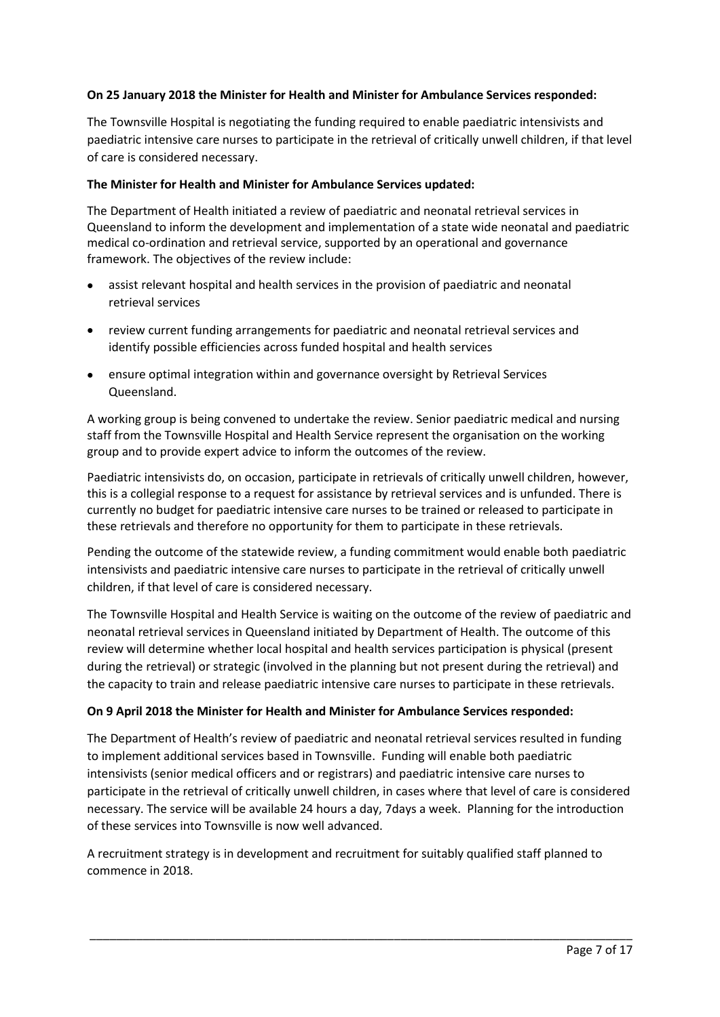## **On 25 January 2018 the Minister for Health and Minister for Ambulance Services responded:**

The Townsville Hospital is negotiating the funding required to enable paediatric intensivists and paediatric intensive care nurses to participate in the retrieval of critically unwell children, if that level of care is considered necessary.

### **The Minister for Health and Minister for Ambulance Services updated:**

The Department of Health initiated a review of paediatric and neonatal retrieval services in Queensland to inform the development and implementation of a state wide neonatal and paediatric medical co-ordination and retrieval service, supported by an operational and governance framework. The objectives of the review include:

- assist relevant hospital and health services in the provision of paediatric and neonatal retrieval services
- review current funding arrangements for paediatric and neonatal retrieval services and identify possible efficiencies across funded hospital and health services
- ensure optimal integration within and governance oversight by Retrieval Services Queensland.

A working group is being convened to undertake the review. Senior paediatric medical and nursing staff from the Townsville Hospital and Health Service represent the organisation on the working group and to provide expert advice to inform the outcomes of the review.

Paediatric intensivists do, on occasion, participate in retrievals of critically unwell children, however, this is a collegial response to a request for assistance by retrieval services and is unfunded. There is currently no budget for paediatric intensive care nurses to be trained or released to participate in these retrievals and therefore no opportunity for them to participate in these retrievals.

Pending the outcome of the statewide review, a funding commitment would enable both paediatric intensivists and paediatric intensive care nurses to participate in the retrieval of critically unwell children, if that level of care is considered necessary.

The Townsville Hospital and Health Service is waiting on the outcome of the review of paediatric and neonatal retrieval services in Queensland initiated by Department of Health. The outcome of this review will determine whether local hospital and health services participation is physical (present during the retrieval) or strategic (involved in the planning but not present during the retrieval) and the capacity to train and release paediatric intensive care nurses to participate in these retrievals.

### **On 9 April 2018 the Minister for Health and Minister for Ambulance Services responded:**

The Department of Health's review of paediatric and neonatal retrieval services resulted in funding to implement additional services based in Townsville. Funding will enable both paediatric intensivists (senior medical officers and or registrars) and paediatric intensive care nurses to participate in the retrieval of critically unwell children, in cases where that level of care is considered necessary. The service will be available 24 hours a day, 7days a week. Planning for the introduction of these services into Townsville is now well advanced.

A recruitment strategy is in development and recruitment for suitably qualified staff planned to commence in 2018.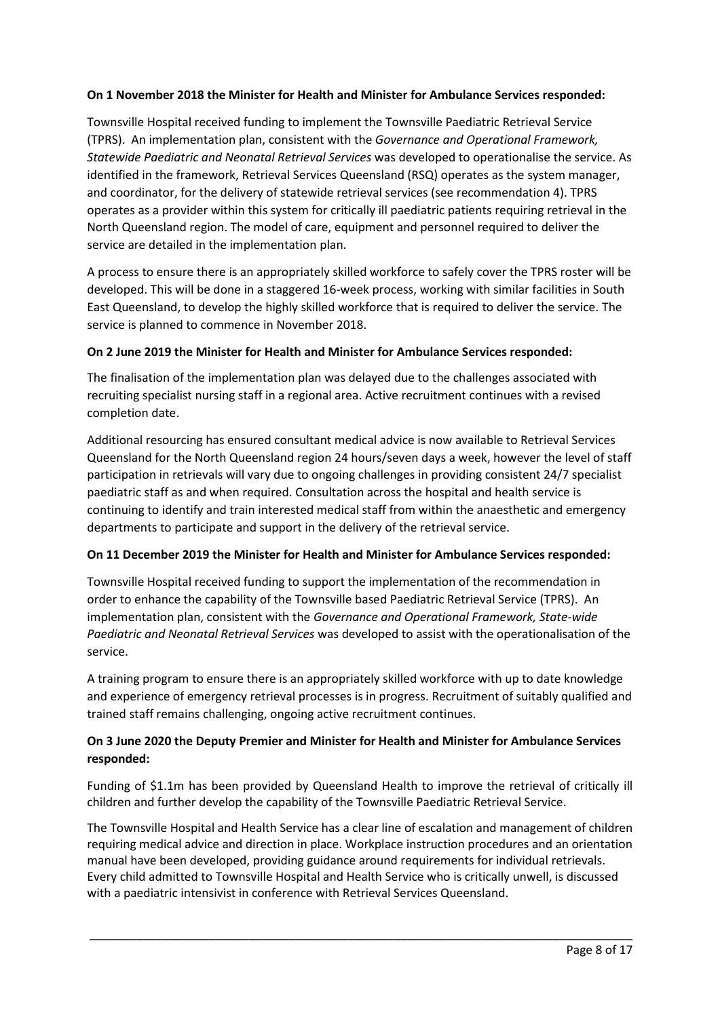# **On 1 November 2018 the Minister for Health and Minister for Ambulance Services responded:**

Townsville Hospital received funding to implement the Townsville Paediatric Retrieval Service (TPRS). An implementation plan, consistent with the *Governance and Operational Framework, Statewide Paediatric and Neonatal Retrieval Services* was developed to operationalise the service. As identified in the framework, Retrieval Services Queensland (RSQ) operates as the system manager, and coordinator, for the delivery of statewide retrieval services (see recommendation 4). TPRS operates as a provider within this system for critically ill paediatric patients requiring retrieval in the North Queensland region. The model of care, equipment and personnel required to deliver the service are detailed in the implementation plan.

A process to ensure there is an appropriately skilled workforce to safely cover the TPRS roster will be developed. This will be done in a staggered 16-week process, working with similar facilities in South East Queensland, to develop the highly skilled workforce that is required to deliver the service. The service is planned to commence in November 2018.

## **On 2 June 2019 the Minister for Health and Minister for Ambulance Services responded:**

The finalisation of the implementation plan was delayed due to the challenges associated with recruiting specialist nursing staff in a regional area. Active recruitment continues with a revised completion date.

Additional resourcing has ensured consultant medical advice is now available to Retrieval Services Queensland for the North Queensland region 24 hours/seven days a week, however the level of staff participation in retrievals will vary due to ongoing challenges in providing consistent 24/7 specialist paediatric staff as and when required. Consultation across the hospital and health service is continuing to identify and train interested medical staff from within the anaesthetic and emergency departments to participate and support in the delivery of the retrieval service.

# **On 11 December 2019 the Minister for Health and Minister for Ambulance Services responded:**

Townsville Hospital received funding to support the implementation of the recommendation in order to enhance the capability of the Townsville based Paediatric Retrieval Service (TPRS). An implementation plan, consistent with the *Governance and Operational Framework, State-wide Paediatric and Neonatal Retrieval Services* was developed to assist with the operationalisation of the service.

A training program to ensure there is an appropriately skilled workforce with up to date knowledge and experience of emergency retrieval processes is in progress. Recruitment of suitably qualified and trained staff remains challenging, ongoing active recruitment continues.

# **On 3 June 2020 the Deputy Premier and Minister for Health and Minister for Ambulance Services responded:**

Funding of \$1.1m has been provided by Queensland Health to improve the retrieval of critically ill children and further develop the capability of the Townsville Paediatric Retrieval Service.

The Townsville Hospital and Health Service has a clear line of escalation and management of children requiring medical advice and direction in place. Workplace instruction procedures and an orientation manual have been developed, providing guidance around requirements for individual retrievals. Every child admitted to Townsville Hospital and Health Service who is critically unwell, is discussed with a paediatric intensivist in conference with Retrieval Services Queensland.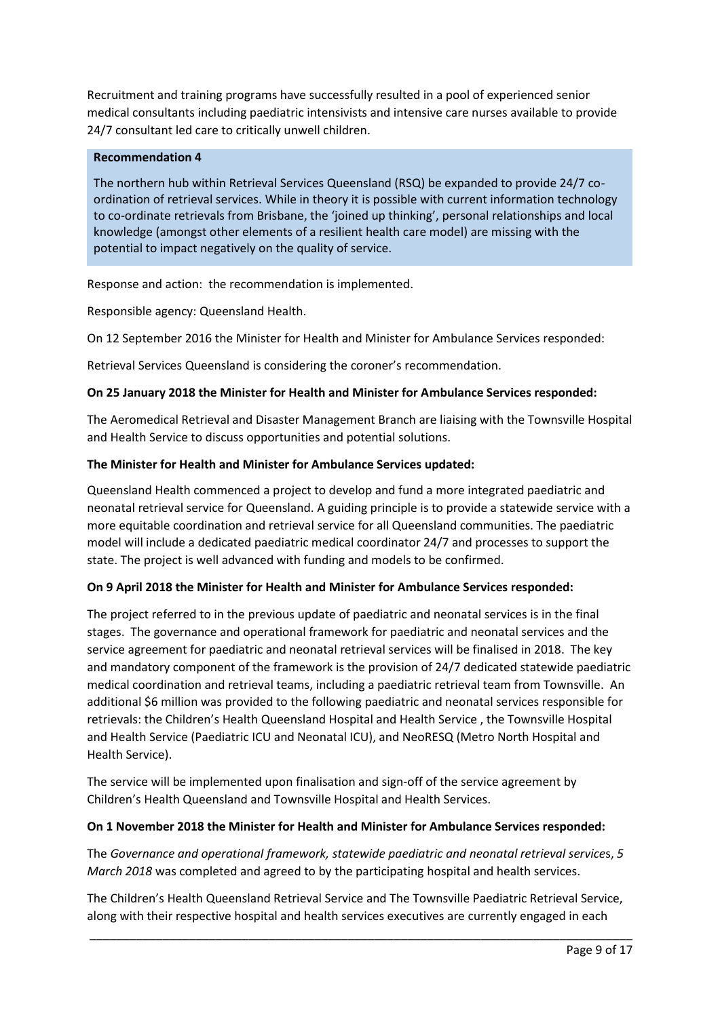Recruitment and training programs have successfully resulted in a pool of experienced senior medical consultants including paediatric intensivists and intensive care nurses available to provide 24/7 consultant led care to critically unwell children.

## **Recommendation 4**

The northern hub within Retrieval Services Queensland (RSQ) be expanded to provide 24/7 coordination of retrieval services. While in theory it is possible with current information technology to co-ordinate retrievals from Brisbane, the 'joined up thinking', personal relationships and local knowledge (amongst other elements of a resilient health care model) are missing with the potential to impact negatively on the quality of service.

Response and action: the recommendation is implemented.

Responsible agency: Queensland Health.

On 12 September 2016 the Minister for Health and Minister for Ambulance Services responded:

Retrieval Services Queensland is considering the coroner's recommendation.

## **On 25 January 2018 the Minister for Health and Minister for Ambulance Services responded:**

The Aeromedical Retrieval and Disaster Management Branch are liaising with the Townsville Hospital and Health Service to discuss opportunities and potential solutions.

## **The Minister for Health and Minister for Ambulance Services updated:**

Queensland Health commenced a project to develop and fund a more integrated paediatric and neonatal retrieval service for Queensland. A guiding principle is to provide a statewide service with a more equitable coordination and retrieval service for all Queensland communities. The paediatric model will include a dedicated paediatric medical coordinator 24/7 and processes to support the state. The project is well advanced with funding and models to be confirmed.

# **On 9 April 2018 the Minister for Health and Minister for Ambulance Services responded:**

The project referred to in the previous update of paediatric and neonatal services is in the final stages. The governance and operational framework for paediatric and neonatal services and the service agreement for paediatric and neonatal retrieval services will be finalised in 2018. The key and mandatory component of the framework is the provision of 24/7 dedicated statewide paediatric medical coordination and retrieval teams, including a paediatric retrieval team from Townsville. An additional \$6 million was provided to the following paediatric and neonatal services responsible for retrievals: the Children's Health Queensland Hospital and Health Service , the Townsville Hospital and Health Service (Paediatric ICU and Neonatal ICU), and NeoRESQ (Metro North Hospital and Health Service).

The service will be implemented upon finalisation and sign-off of the service agreement by Children's Health Queensland and Townsville Hospital and Health Services.

### **On 1 November 2018 the Minister for Health and Minister for Ambulance Services responded:**

The *Governance and operational framework, statewide paediatric and neonatal retrieval service*s, *5 March 2018* was completed and agreed to by the participating hospital and health services.

The Children's Health Queensland Retrieval Service and The Townsville Paediatric Retrieval Service, along with their respective hospital and health services executives are currently engaged in each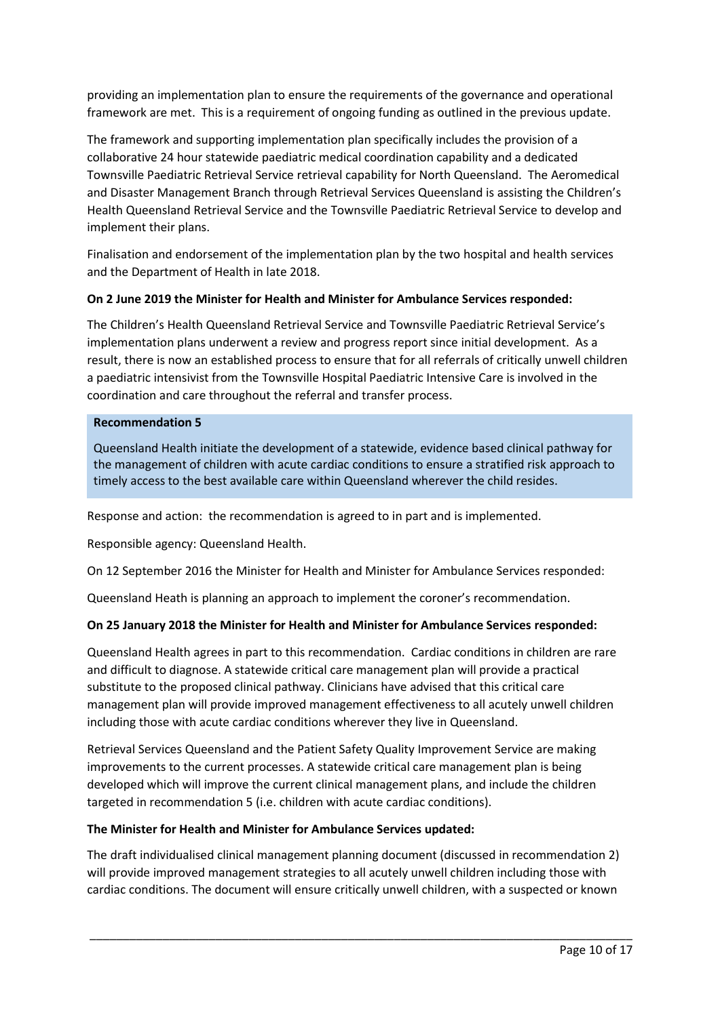providing an implementation plan to ensure the requirements of the governance and operational framework are met. This is a requirement of ongoing funding as outlined in the previous update.

The framework and supporting implementation plan specifically includes the provision of a collaborative 24 hour statewide paediatric medical coordination capability and a dedicated Townsville Paediatric Retrieval Service retrieval capability for North Queensland. The Aeromedical and Disaster Management Branch through Retrieval Services Queensland is assisting the Children's Health Queensland Retrieval Service and the Townsville Paediatric Retrieval Service to develop and implement their plans.

Finalisation and endorsement of the implementation plan by the two hospital and health services and the Department of Health in late 2018.

# **On 2 June 2019 the Minister for Health and Minister for Ambulance Services responded:**

The Children's Health Queensland Retrieval Service and Townsville Paediatric Retrieval Service's implementation plans underwent a review and progress report since initial development. As a result, there is now an established process to ensure that for all referrals of critically unwell children a paediatric intensivist from the Townsville Hospital Paediatric Intensive Care is involved in the coordination and care throughout the referral and transfer process.

### **Recommendation 5**

Queensland Health initiate the development of a statewide, evidence based clinical pathway for the management of children with acute cardiac conditions to ensure a stratified risk approach to timely access to the best available care within Queensland wherever the child resides.

Response and action: the recommendation is agreed to in part and is implemented.

Responsible agency: Queensland Health.

On 12 September 2016 the Minister for Health and Minister for Ambulance Services responded:

Queensland Heath is planning an approach to implement the coroner's recommendation.

# **On 25 January 2018 the Minister for Health and Minister for Ambulance Services responded:**

Queensland Health agrees in part to this recommendation. Cardiac conditions in children are rare and difficult to diagnose. A statewide critical care management plan will provide a practical substitute to the proposed clinical pathway. Clinicians have advised that this critical care management plan will provide improved management effectiveness to all acutely unwell children including those with acute cardiac conditions wherever they live in Queensland.

Retrieval Services Queensland and the Patient Safety Quality Improvement Service are making improvements to the current processes. A statewide critical care management plan is being developed which will improve the current clinical management plans, and include the children targeted in recommendation 5 (i.e. children with acute cardiac conditions).

### **The Minister for Health and Minister for Ambulance Services updated:**

The draft individualised clinical management planning document (discussed in recommendation 2) will provide improved management strategies to all acutely unwell children including those with cardiac conditions. The document will ensure critically unwell children, with a suspected or known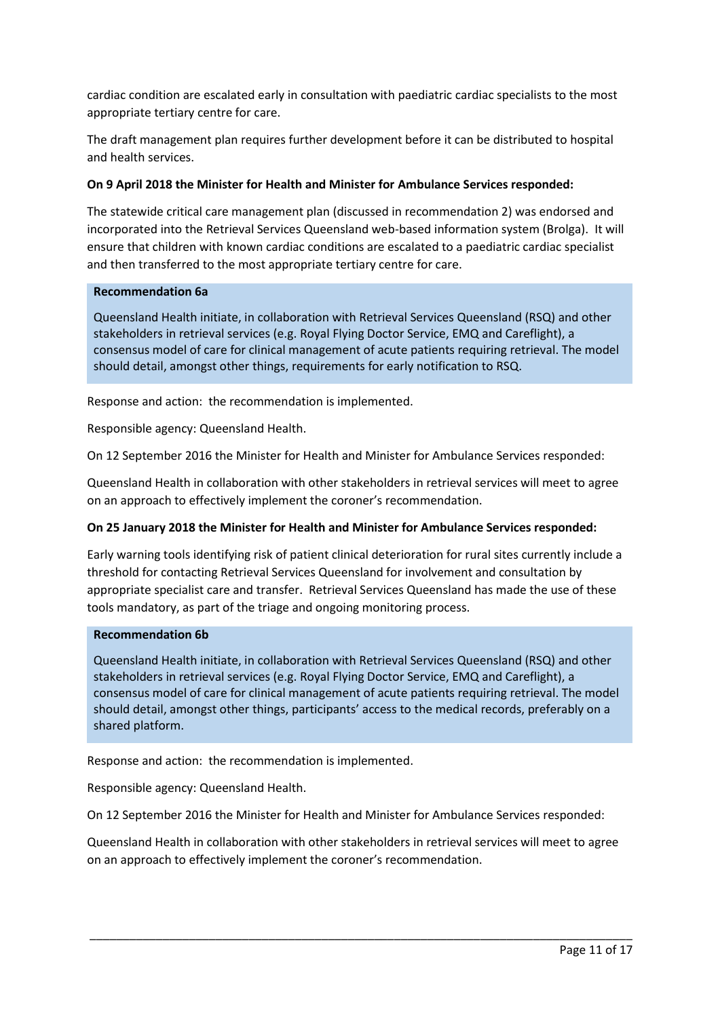cardiac condition are escalated early in consultation with paediatric cardiac specialists to the most appropriate tertiary centre for care.

The draft management plan requires further development before it can be distributed to hospital and health services.

## **On 9 April 2018 the Minister for Health and Minister for Ambulance Services responded:**

The statewide critical care management plan (discussed in recommendation 2) was endorsed and incorporated into the Retrieval Services Queensland web-based information system (Brolga). It will ensure that children with known cardiac conditions are escalated to a paediatric cardiac specialist and then transferred to the most appropriate tertiary centre for care.

### **Recommendation 6a**

Queensland Health initiate, in collaboration with Retrieval Services Queensland (RSQ) and other stakeholders in retrieval services (e.g. Royal Flying Doctor Service, EMQ and Careflight), a consensus model of care for clinical management of acute patients requiring retrieval. The model should detail, amongst other things, requirements for early notification to RSQ.

Response and action: the recommendation is implemented.

Responsible agency: Queensland Health.

On 12 September 2016 the Minister for Health and Minister for Ambulance Services responded:

Queensland Health in collaboration with other stakeholders in retrieval services will meet to agree on an approach to effectively implement the coroner's recommendation.

### **On 25 January 2018 the Minister for Health and Minister for Ambulance Services responded:**

Early warning tools identifying risk of patient clinical deterioration for rural sites currently include a threshold for contacting Retrieval Services Queensland for involvement and consultation by appropriate specialist care and transfer. Retrieval Services Queensland has made the use of these tools mandatory, as part of the triage and ongoing monitoring process.

### **Recommendation 6b**

Queensland Health initiate, in collaboration with Retrieval Services Queensland (RSQ) and other stakeholders in retrieval services (e.g. Royal Flying Doctor Service, EMQ and Careflight), a consensus model of care for clinical management of acute patients requiring retrieval. The model should detail, amongst other things, participants' access to the medical records, preferably on a shared platform.

Response and action: the recommendation is implemented.

Responsible agency: Queensland Health.

On 12 September 2016 the Minister for Health and Minister for Ambulance Services responded:

Queensland Health in collaboration with other stakeholders in retrieval services will meet to agree on an approach to effectively implement the coroner's recommendation.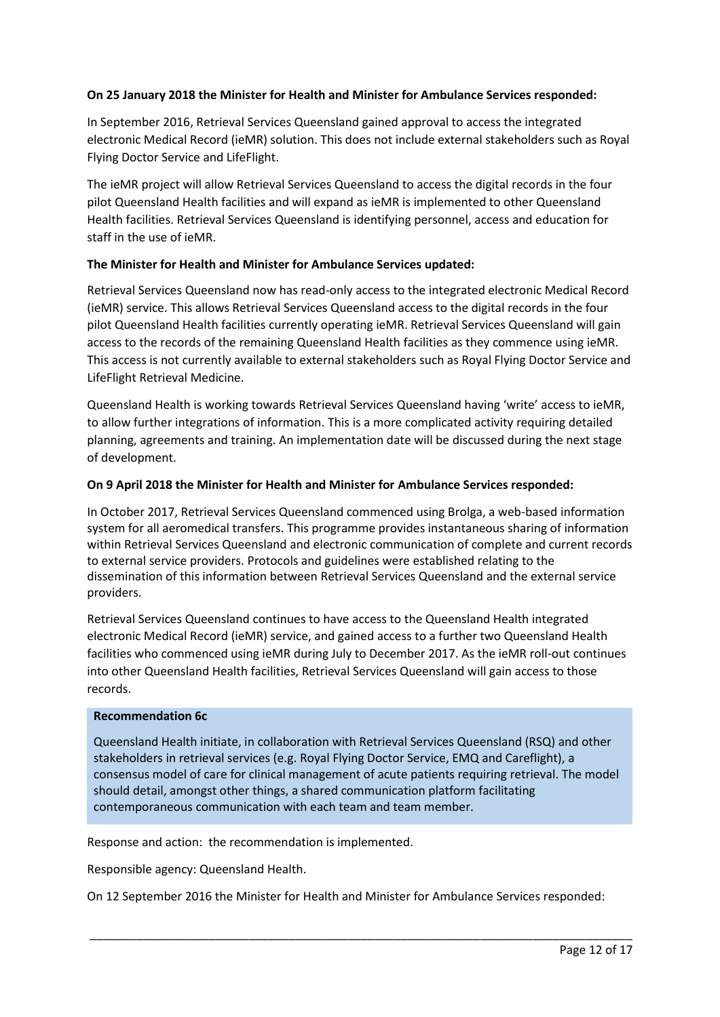## **On 25 January 2018 the Minister for Health and Minister for Ambulance Services responded:**

In September 2016, Retrieval Services Queensland gained approval to access the integrated electronic Medical Record (ieMR) solution. This does not include external stakeholders such as Royal Flying Doctor Service and LifeFlight.

The ieMR project will allow Retrieval Services Queensland to access the digital records in the four pilot Queensland Health facilities and will expand as ieMR is implemented to other Queensland Health facilities. Retrieval Services Queensland is identifying personnel, access and education for staff in the use of ieMR.

## **The Minister for Health and Minister for Ambulance Services updated:**

Retrieval Services Queensland now has read-only access to the integrated electronic Medical Record (ieMR) service. This allows Retrieval Services Queensland access to the digital records in the four pilot Queensland Health facilities currently operating ieMR. Retrieval Services Queensland will gain access to the records of the remaining Queensland Health facilities as they commence using ieMR. This access is not currently available to external stakeholders such as Royal Flying Doctor Service and LifeFlight Retrieval Medicine.

Queensland Health is working towards Retrieval Services Queensland having 'write' access to ieMR, to allow further integrations of information. This is a more complicated activity requiring detailed planning, agreements and training. An implementation date will be discussed during the next stage of development.

### **On 9 April 2018 the Minister for Health and Minister for Ambulance Services responded:**

In October 2017, Retrieval Services Queensland commenced using Brolga, a web-based information system for all aeromedical transfers. This programme provides instantaneous sharing of information within Retrieval Services Queensland and electronic communication of complete and current records to external service providers. Protocols and guidelines were established relating to the dissemination of this information between Retrieval Services Queensland and the external service providers.

Retrieval Services Queensland continues to have access to the Queensland Health integrated electronic Medical Record (ieMR) service, and gained access to a further two Queensland Health facilities who commenced using ieMR during July to December 2017. As the ieMR roll-out continues into other Queensland Health facilities, Retrieval Services Queensland will gain access to those records.

### **Recommendation 6c**

Queensland Health initiate, in collaboration with Retrieval Services Queensland (RSQ) and other stakeholders in retrieval services (e.g. Royal Flying Doctor Service, EMQ and Careflight), a consensus model of care for clinical management of acute patients requiring retrieval. The model should detail, amongst other things, a shared communication platform facilitating contemporaneous communication with each team and team member.

Response and action: the recommendation is implemented.

Responsible agency: Queensland Health.

On 12 September 2016 the Minister for Health and Minister for Ambulance Services responded: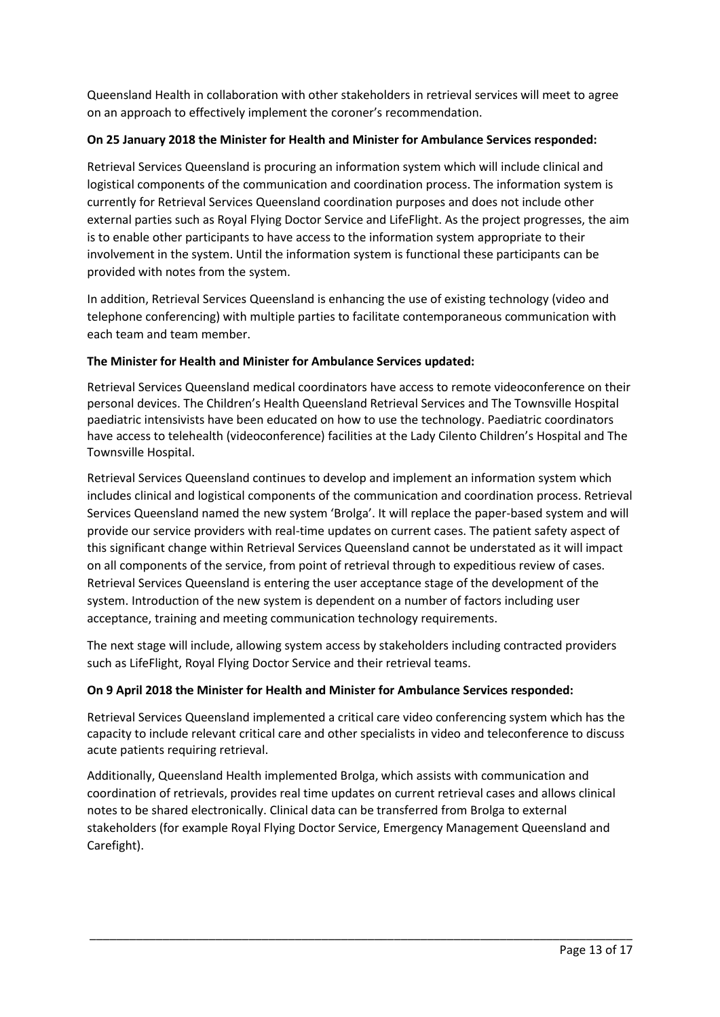Queensland Health in collaboration with other stakeholders in retrieval services will meet to agree on an approach to effectively implement the coroner's recommendation.

# **On 25 January 2018 the Minister for Health and Minister for Ambulance Services responded:**

Retrieval Services Queensland is procuring an information system which will include clinical and logistical components of the communication and coordination process. The information system is currently for Retrieval Services Queensland coordination purposes and does not include other external parties such as Royal Flying Doctor Service and LifeFlight. As the project progresses, the aim is to enable other participants to have access to the information system appropriate to their involvement in the system. Until the information system is functional these participants can be provided with notes from the system.

In addition, Retrieval Services Queensland is enhancing the use of existing technology (video and telephone conferencing) with multiple parties to facilitate contemporaneous communication with each team and team member.

# **The Minister for Health and Minister for Ambulance Services updated:**

Retrieval Services Queensland medical coordinators have access to remote videoconference on their personal devices. The Children's Health Queensland Retrieval Services and The Townsville Hospital paediatric intensivists have been educated on how to use the technology. Paediatric coordinators have access to telehealth (videoconference) facilities at the Lady Cilento Children's Hospital and The Townsville Hospital.

Retrieval Services Queensland continues to develop and implement an information system which includes clinical and logistical components of the communication and coordination process. Retrieval Services Queensland named the new system 'Brolga'. It will replace the paper-based system and will provide our service providers with real-time updates on current cases. The patient safety aspect of this significant change within Retrieval Services Queensland cannot be understated as it will impact on all components of the service, from point of retrieval through to expeditious review of cases. Retrieval Services Queensland is entering the user acceptance stage of the development of the system. Introduction of the new system is dependent on a number of factors including user acceptance, training and meeting communication technology requirements.

The next stage will include, allowing system access by stakeholders including contracted providers such as LifeFlight, Royal Flying Doctor Service and their retrieval teams.

# **On 9 April 2018 the Minister for Health and Minister for Ambulance Services responded:**

Retrieval Services Queensland implemented a critical care video conferencing system which has the capacity to include relevant critical care and other specialists in video and teleconference to discuss acute patients requiring retrieval.

Additionally, Queensland Health implemented Brolga, which assists with communication and coordination of retrievals, provides real time updates on current retrieval cases and allows clinical notes to be shared electronically. Clinical data can be transferred from Brolga to external stakeholders (for example Royal Flying Doctor Service, Emergency Management Queensland and Carefight).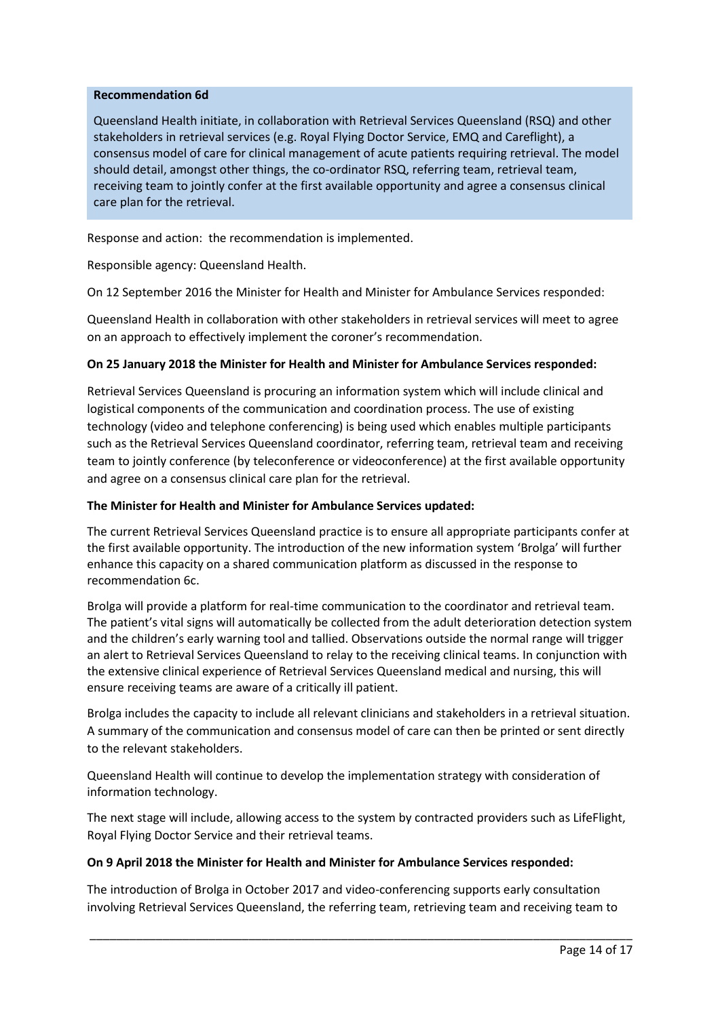### **Recommendation 6d**

Queensland Health initiate, in collaboration with Retrieval Services Queensland (RSQ) and other stakeholders in retrieval services (e.g. Royal Flying Doctor Service, EMQ and Careflight), a consensus model of care for clinical management of acute patients requiring retrieval. The model should detail, amongst other things, the co-ordinator RSQ, referring team, retrieval team, receiving team to jointly confer at the first available opportunity and agree a consensus clinical care plan for the retrieval.

Response and action: the recommendation is implemented.

Responsible agency: Queensland Health.

On 12 September 2016 the Minister for Health and Minister for Ambulance Services responded:

Queensland Health in collaboration with other stakeholders in retrieval services will meet to agree on an approach to effectively implement the coroner's recommendation.

## **On 25 January 2018 the Minister for Health and Minister for Ambulance Services responded:**

Retrieval Services Queensland is procuring an information system which will include clinical and logistical components of the communication and coordination process. The use of existing technology (video and telephone conferencing) is being used which enables multiple participants such as the Retrieval Services Queensland coordinator, referring team, retrieval team and receiving team to jointly conference (by teleconference or videoconference) at the first available opportunity and agree on a consensus clinical care plan for the retrieval.

### **The Minister for Health and Minister for Ambulance Services updated:**

The current Retrieval Services Queensland practice is to ensure all appropriate participants confer at the first available opportunity. The introduction of the new information system 'Brolga' will further enhance this capacity on a shared communication platform as discussed in the response to recommendation 6c.

Brolga will provide a platform for real-time communication to the coordinator and retrieval team. The patient's vital signs will automatically be collected from the adult deterioration detection system and the children's early warning tool and tallied. Observations outside the normal range will trigger an alert to Retrieval Services Queensland to relay to the receiving clinical teams. In conjunction with the extensive clinical experience of Retrieval Services Queensland medical and nursing, this will ensure receiving teams are aware of a critically ill patient.

Brolga includes the capacity to include all relevant clinicians and stakeholders in a retrieval situation. A summary of the communication and consensus model of care can then be printed or sent directly to the relevant stakeholders.

Queensland Health will continue to develop the implementation strategy with consideration of information technology.

The next stage will include, allowing access to the system by contracted providers such as LifeFlight, Royal Flying Doctor Service and their retrieval teams.

### **On 9 April 2018 the Minister for Health and Minister for Ambulance Services responded:**

The introduction of Brolga in October 2017 and video-conferencing supports early consultation involving Retrieval Services Queensland, the referring team, retrieving team and receiving team to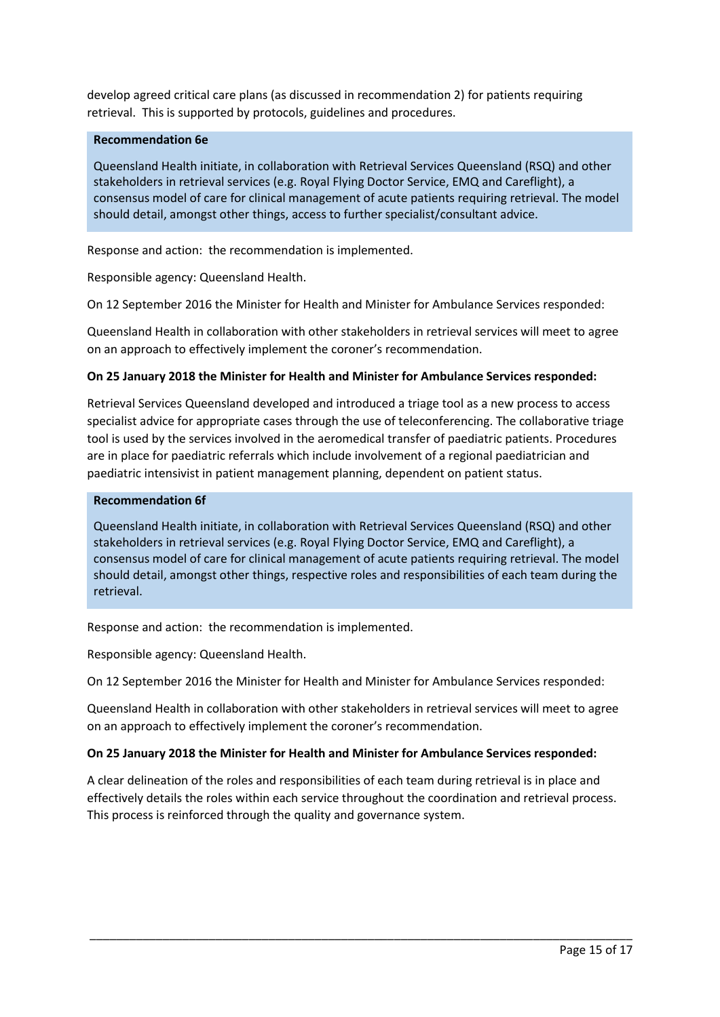develop agreed critical care plans (as discussed in recommendation 2) for patients requiring retrieval. This is supported by protocols, guidelines and procedures.

### **Recommendation 6e**

Queensland Health initiate, in collaboration with Retrieval Services Queensland (RSQ) and other stakeholders in retrieval services (e.g. Royal Flying Doctor Service, EMQ and Careflight), a consensus model of care for clinical management of acute patients requiring retrieval. The model should detail, amongst other things, access to further specialist/consultant advice.

Response and action: the recommendation is implemented.

Responsible agency: Queensland Health.

On 12 September 2016 the Minister for Health and Minister for Ambulance Services responded:

Queensland Health in collaboration with other stakeholders in retrieval services will meet to agree on an approach to effectively implement the coroner's recommendation.

### **On 25 January 2018 the Minister for Health and Minister for Ambulance Services responded:**

Retrieval Services Queensland developed and introduced a triage tool as a new process to access specialist advice for appropriate cases through the use of teleconferencing. The collaborative triage tool is used by the services involved in the aeromedical transfer of paediatric patients. Procedures are in place for paediatric referrals which include involvement of a regional paediatrician and paediatric intensivist in patient management planning, dependent on patient status.

#### **Recommendation 6f**

Queensland Health initiate, in collaboration with Retrieval Services Queensland (RSQ) and other stakeholders in retrieval services (e.g. Royal Flying Doctor Service, EMQ and Careflight), a consensus model of care for clinical management of acute patients requiring retrieval. The model should detail, amongst other things, respective roles and responsibilities of each team during the retrieval.

Response and action: the recommendation is implemented.

Responsible agency: Queensland Health.

On 12 September 2016 the Minister for Health and Minister for Ambulance Services responded:

Queensland Health in collaboration with other stakeholders in retrieval services will meet to agree on an approach to effectively implement the coroner's recommendation.

### **On 25 January 2018 the Minister for Health and Minister for Ambulance Services responded:**

A clear delineation of the roles and responsibilities of each team during retrieval is in place and effectively details the roles within each service throughout the coordination and retrieval process. This process is reinforced through the quality and governance system.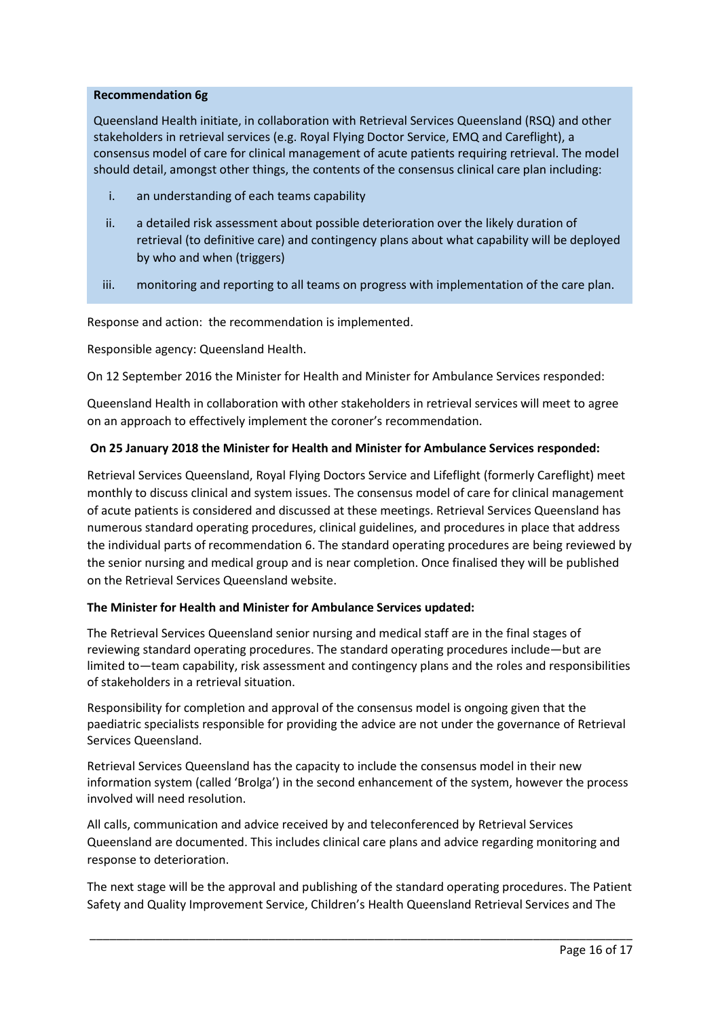### **Recommendation 6g**

Queensland Health initiate, in collaboration with Retrieval Services Queensland (RSQ) and other stakeholders in retrieval services (e.g. Royal Flying Doctor Service, EMQ and Careflight), a consensus model of care for clinical management of acute patients requiring retrieval. The model should detail, amongst other things, the contents of the consensus clinical care plan including:

- i. an understanding of each teams capability
- ii. a detailed risk assessment about possible deterioration over the likely duration of retrieval (to definitive care) and contingency plans about what capability will be deployed by who and when (triggers)
- iii. monitoring and reporting to all teams on progress with implementation of the care plan.

Response and action: the recommendation is implemented.

Responsible agency: Queensland Health.

On 12 September 2016 the Minister for Health and Minister for Ambulance Services responded:

Queensland Health in collaboration with other stakeholders in retrieval services will meet to agree on an approach to effectively implement the coroner's recommendation.

## **On 25 January 2018 the Minister for Health and Minister for Ambulance Services responded:**

Retrieval Services Queensland, Royal Flying Doctors Service and Lifeflight (formerly Careflight) meet monthly to discuss clinical and system issues. The consensus model of care for clinical management of acute patients is considered and discussed at these meetings. Retrieval Services Queensland has numerous standard operating procedures, clinical guidelines, and procedures in place that address the individual parts of recommendation 6. The standard operating procedures are being reviewed by the senior nursing and medical group and is near completion. Once finalised they will be published on the Retrieval Services Queensland website.

### **The Minister for Health and Minister for Ambulance Services updated:**

The Retrieval Services Queensland senior nursing and medical staff are in the final stages of reviewing standard operating procedures. The standard operating procedures include—but are limited to—team capability, risk assessment and contingency plans and the roles and responsibilities of stakeholders in a retrieval situation.

Responsibility for completion and approval of the consensus model is ongoing given that the paediatric specialists responsible for providing the advice are not under the governance of Retrieval Services Queensland.

Retrieval Services Queensland has the capacity to include the consensus model in their new information system (called 'Brolga') in the second enhancement of the system, however the process involved will need resolution.

All calls, communication and advice received by and teleconferenced by Retrieval Services Queensland are documented. This includes clinical care plans and advice regarding monitoring and response to deterioration.

The next stage will be the approval and publishing of the standard operating procedures. The Patient Safety and Quality Improvement Service, Children's Health Queensland Retrieval Services and The